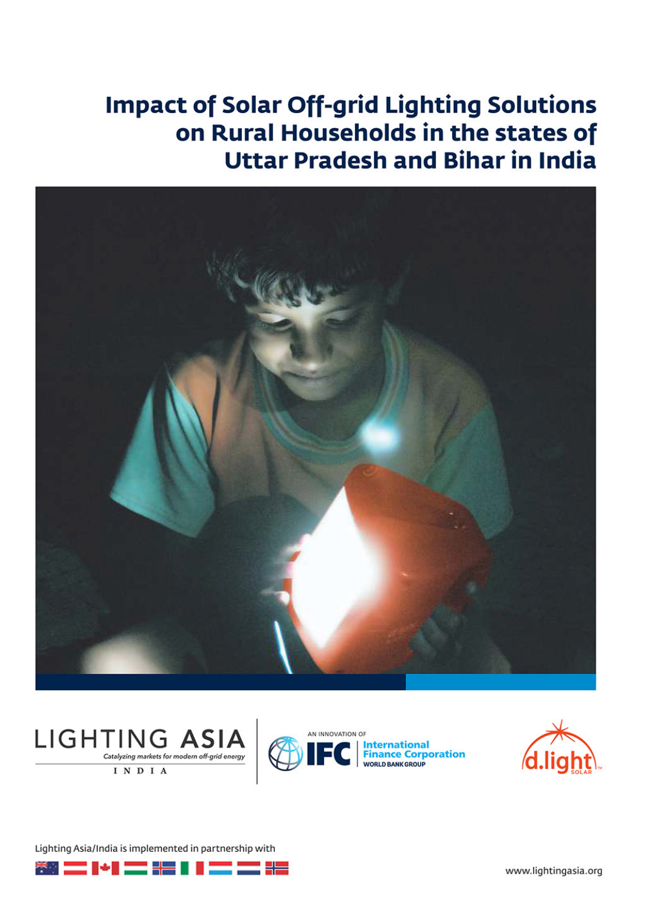# **Impact of Solar Off-grid Lighting Solutions** on Rural Households in the states of **Uttar Pradesh and Bihar in India**









Lighting Asia/India is implemented in partnership with



www.lightingasia.org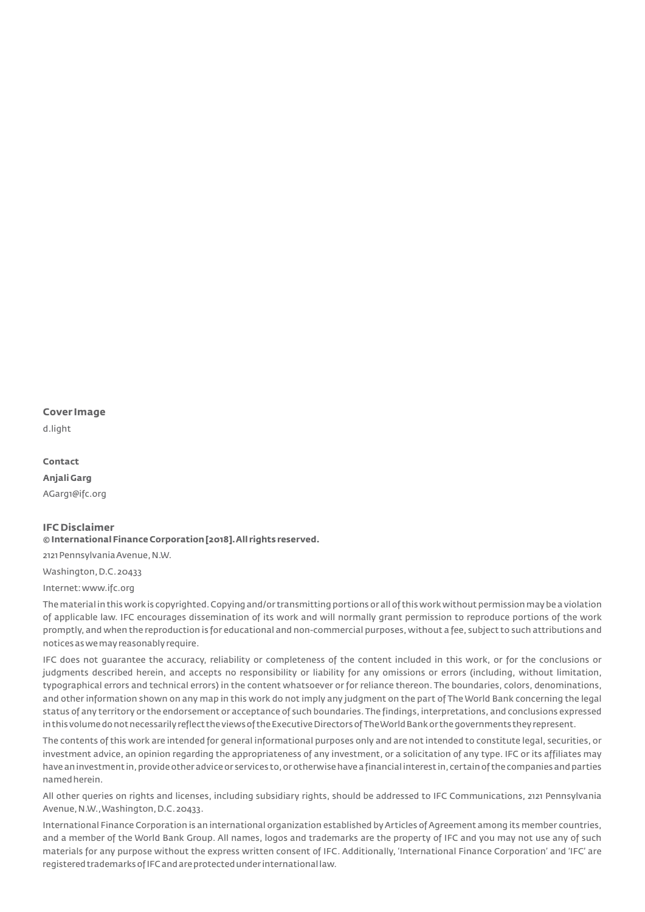#### **Cover Image**

d.light

**Contact Anjali Garg** AGarg1@ifc.org

### **IFC Disclaimer**

#### **© International Finance Corporation [2018].All rights reserved.**

2121 Pennsylvania Avenue, N.W.

Washington, D.C. 20433

Internet: www.ifc.org

The material in this work is copyrighted.Copying and/or transmitting portions or all of this work without permission may be a violation of applicable law. IFC encourages dissemination of its work and will normally grant permission to reproduce portions of the work promptly, and when the reproduction is for educational and non-commercial purposes, without a fee, subject to such attributions and notices as we may reasonably require.

IFC does not guarantee the accuracy, reliability or completeness of the content included in this work, or for the conclusions or judgments described herein, and accepts no responsibility or liability for any omissions or errors (including, without limitation, typographical errors and technical errors) in the content whatsoever or for reliance thereon. The boundaries, colors, denominations, and other information shown on any map in this work do not imply any judgment on the part of The World Bank concerning the legal status of any territory or the endorsement or acceptance of such boundaries.The findings, interpretations, and conclusions expressed in this volume do not necessarily reflect the views of the Executive Directors of The World Bank or the governments they represent.

The contents of this work are intended for general informational purposes only and are not intended to constitute legal, securities, or investment advice, an opinion regarding the appropriateness of any investment, or a solicitation of any type. IFC or its affiliates may have an investment in,provide other advice or services to,or otherwise have a financial interest in, certain of the companies and parties named herein.

All other queries on rights and licenses, including subsidiary rights, should be addressed to IFC Communications, 2121 Pennsylvania Avenue,N.W.,Washington,D.C. 20433.

International Finance Corporation is an international organization established by Articles of Agreement among its member countries, and a member of the World Bank Group. All names, logos and trademarks are the property of IFC and you may not use any of such materials for any purpose without the express written consent of IFC. Additionally, 'International Finance Corporation' and 'IFC' are registered trademarks of IFC and are protected under international law.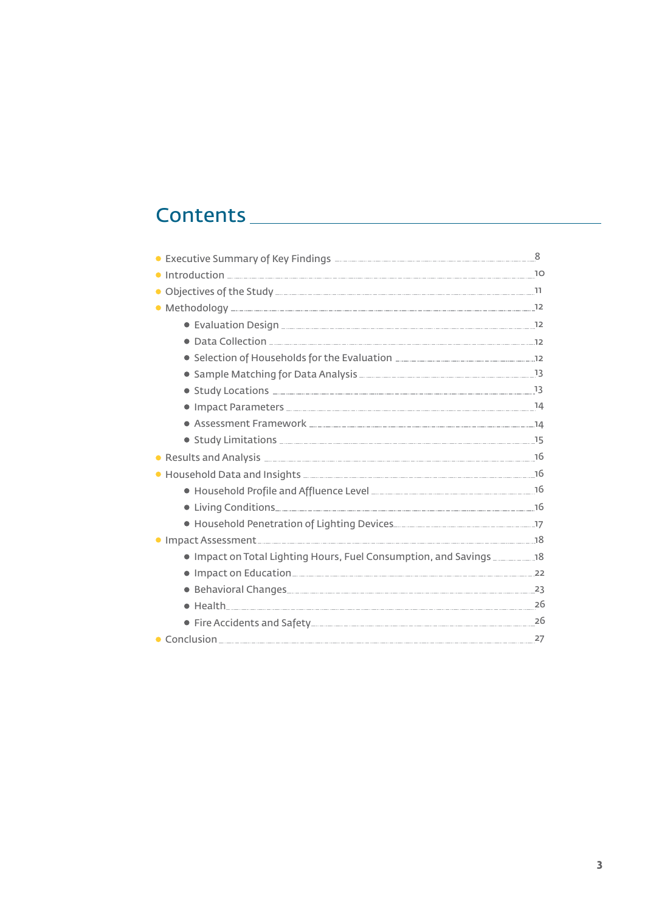# Contents

| • Executive Summary of Key Findings <b>- Executive Summary of Key Findings</b> - <b></b> |  |
|------------------------------------------------------------------------------------------|--|
|                                                                                          |  |
|                                                                                          |  |
|                                                                                          |  |
|                                                                                          |  |
|                                                                                          |  |
|                                                                                          |  |
|                                                                                          |  |
|                                                                                          |  |
|                                                                                          |  |
|                                                                                          |  |
|                                                                                          |  |
|                                                                                          |  |
|                                                                                          |  |
|                                                                                          |  |
|                                                                                          |  |
|                                                                                          |  |
|                                                                                          |  |
| . Impact on Total Lighting Hours, Fuel Consumption, and Savings ______________18         |  |
|                                                                                          |  |
|                                                                                          |  |
|                                                                                          |  |
|                                                                                          |  |
| • Conclusion 27                                                                          |  |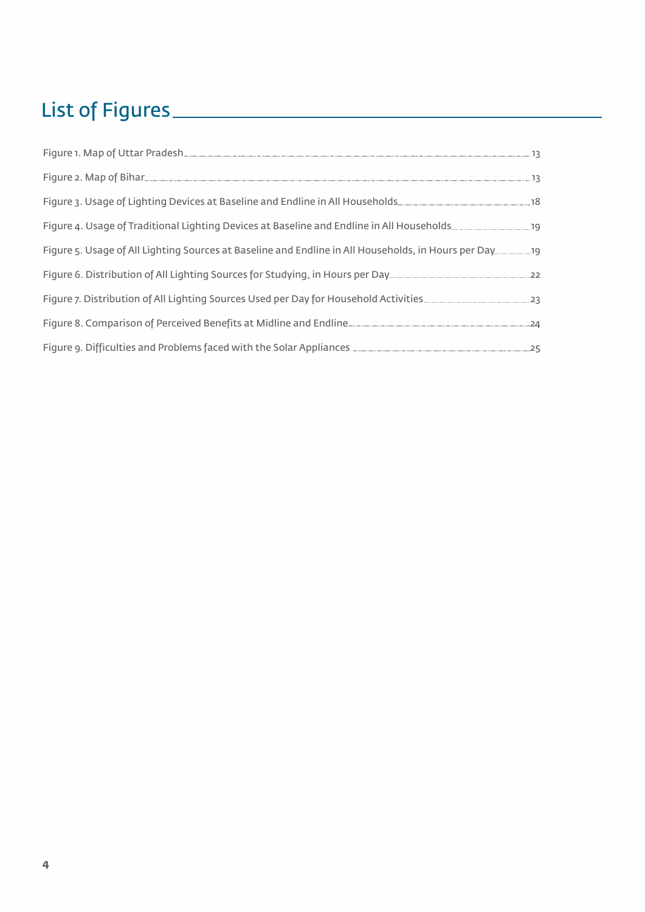# List of Figures

| Figure 2. Map of Bihar 13                                                                           |  |
|-----------------------------------------------------------------------------------------------------|--|
| Figure 3. Usage of Lighting Devices at Baseline and Endline in All Households [10001] [12] 18       |  |
| Figure 4. Usage of Traditional Lighting Devices at Baseline and Endline in All Households           |  |
| Figure 5. Usage of All Lighting Sources at Baseline and Endline in All Households, in Hours per Day |  |
|                                                                                                     |  |
|                                                                                                     |  |
|                                                                                                     |  |
| Figure 9. Difficulties and Problems faced with the Solar Appliances <b>Manual Access 2018</b> 25    |  |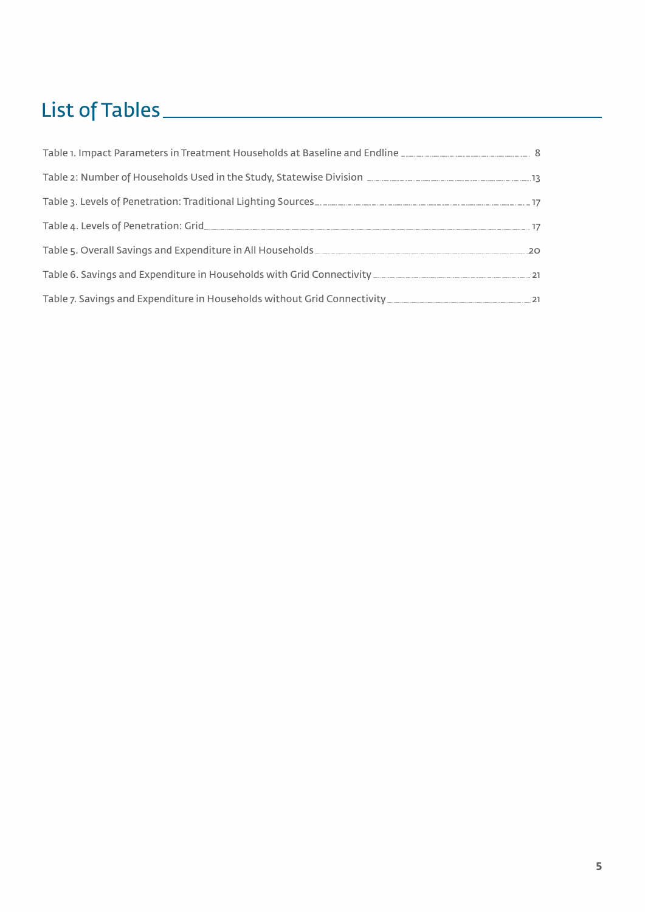# List of Tables

| Table 1. Impact Parameters in Treatment Households at Baseline and Endline __________________________________ 8                                |  |
|------------------------------------------------------------------------------------------------------------------------------------------------|--|
|                                                                                                                                                |  |
| Table 3. Levels of Penetration: Traditional Lighting Sources [10] Table 3. Levels of Penetration: 17                                           |  |
|                                                                                                                                                |  |
| Table 5. Overall Savings and Expenditure in All Households [1989] Table 5. Overall Savings and Expenditure in All Households [1989] Table 7.20 |  |
|                                                                                                                                                |  |
|                                                                                                                                                |  |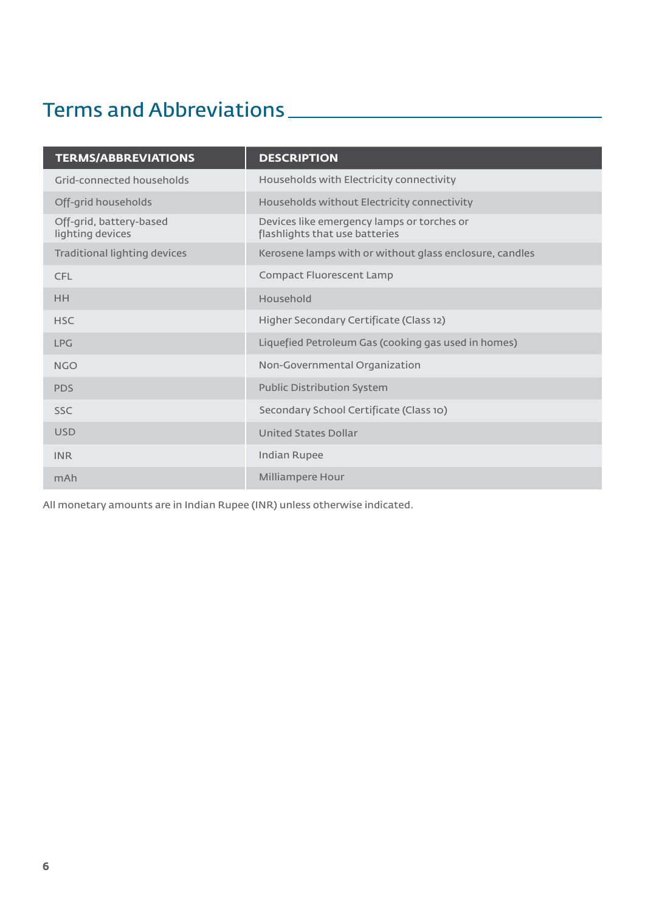# Terms and Abbreviations

| <b>TERMS/ABBREVIATIONS</b>                  | <b>DESCRIPTION</b>                                                           |
|---------------------------------------------|------------------------------------------------------------------------------|
| Grid-connected households                   | Households with Electricity connectivity                                     |
| Off-grid households                         | Households without Electricity connectivity                                  |
| Off-grid, battery-based<br>lighting devices | Devices like emergency lamps or torches or<br>flashlights that use batteries |
| Traditional lighting devices                | Kerosene lamps with or without glass enclosure, candles                      |
| <b>CFL</b>                                  | <b>Compact Fluorescent Lamp</b>                                              |
| <b>HH</b>                                   | Household                                                                    |
| <b>HSC</b>                                  | Higher Secondary Certificate (Class 12)                                      |
| <b>LPG</b>                                  | Liquefied Petroleum Gas (cooking gas used in homes)                          |
| <b>NGO</b>                                  | Non-Governmental Organization                                                |
| <b>PDS</b>                                  | <b>Public Distribution System</b>                                            |
| <b>SSC</b>                                  | Secondary School Certificate (Class 10)                                      |
| <b>USD</b>                                  | <b>United States Dollar</b>                                                  |
| <b>INR</b>                                  | <b>Indian Rupee</b>                                                          |
| mAh                                         | Milliampere Hour                                                             |

All monetary amounts are in Indian Rupee (INR) unless otherwise indicated.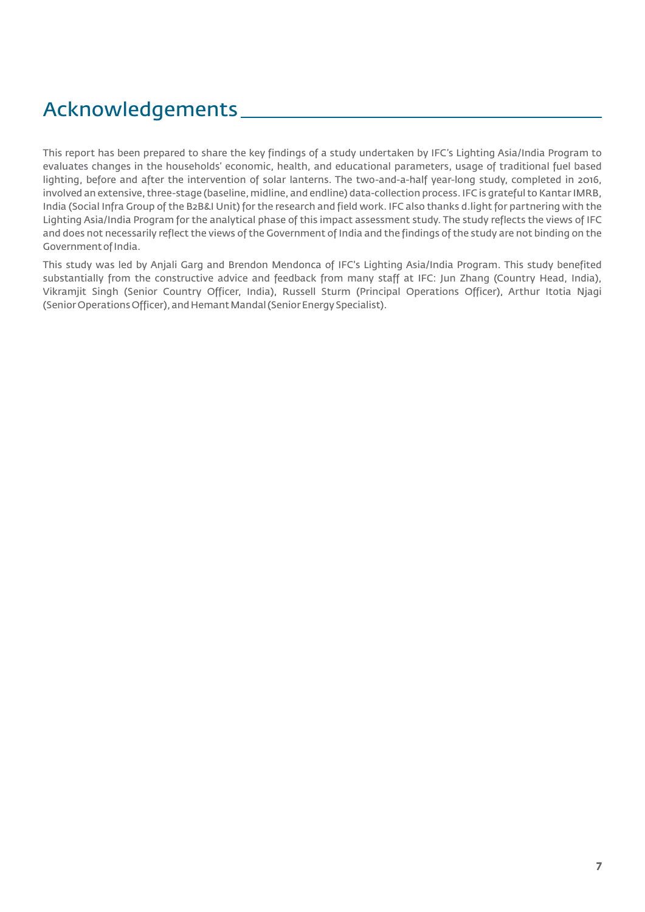# Acknowledgements

This report has been prepared to share the key findings of a study undertaken by IFC's Lighting Asia/India Program to evaluates changes in the households' economic, health, and educational parameters, usage of traditional fuel based lighting, before and after the intervention of solar lanterns. The two-and-a-half year-long study, completed in 2016, involved an extensive, three-stage (baseline, midline, and endline) data-collection process. IFC is grateful to Kantar IMRB, India (Social Infra Group of the B2B&I Unit) for the research and field work. IFC also thanks d.light for partnering with the Lighting Asia/India Program for the analytical phase of this impact assessment study. The study reflects the views of IFC and does not necessarily reflect the views of the Government of India and the findings of the study are not binding on the Government of India.

This study was led by Anjali Garg and Brendon Mendonca of IFC's Lighting Asia/India Program. This study benefited substantially from the constructive advice and feedback from many staff at IFC: Jun Zhang (Country Head, India), Vikramjit Singh (Senior Country Officer, India), Russell Sturm (Principal Operations Officer), Arthur Itotia Njagi (Senior Operations Officer), and Hemant Mandal (Senior Energy Specialist).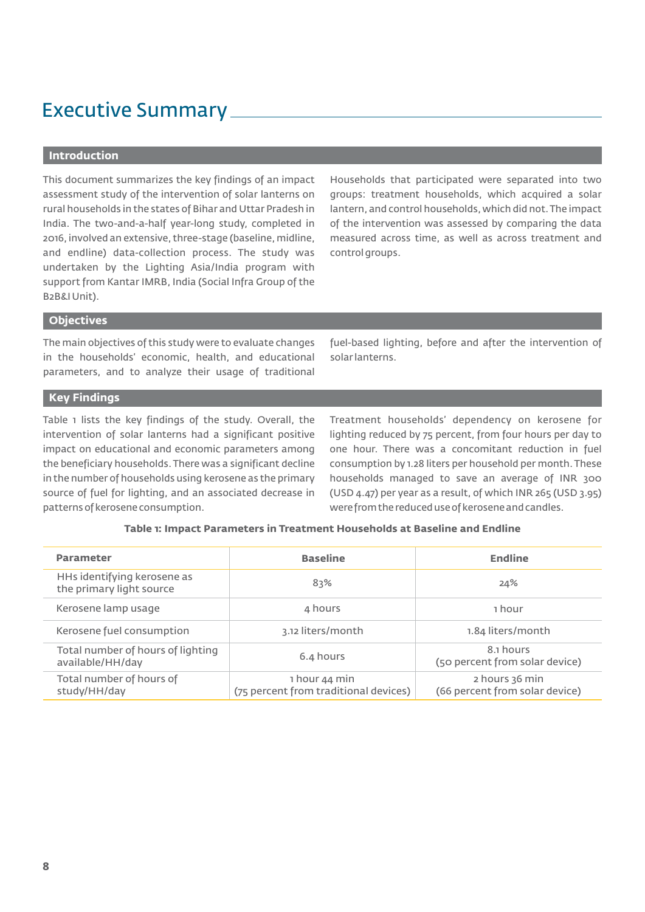# Executive Summary

#### **Introduction**

This document summarizes the key findings of an impact assessment study of the intervention of solar lanterns on rural households in the states of Bihar and Uttar Pradesh in India. The two-and-a-half year-long study, completed in 2016, involved an extensive, three-stage (baseline, midline, and endline) data-collection process. The study was undertaken by the Lighting Asia/India program with support from Kantar IMRB, India (Social Infra Group of the B2B&I Unit).

Households that participated were separated into two groups: treatment households, which acquired a solar lantern, and control households, which did not.The impact of the intervention was assessed by comparing the data measured across time, as well as across treatment and control groups.

#### **Objectives**

The main objectives of this study were to evaluate changes in the households' economic, health, and educational parameters, and to analyze their usage of traditional fuel-based lighting, before and after the intervention of solar lanterns.

# **Key Findings**

Table 1 lists the key findings of the study. Overall, the intervention of solar lanterns had a significant positive impact on educational and economic parameters among the beneficiary households.There was a significant decline in the number of households using kerosene as the primary source of fuel for lighting, and an associated decrease in patterns of kerosene consumption.

Treatment households' dependency on kerosene for lighting reduced by 75 percent, from four hours per day to one hour. There was a concomitant reduction in fuel consumption by 1.28 liters per household per month.These households managed to save an average of INR 300 (USD 4.47) per year as a result, of which INR 265 (USD 3.95) were from the reduced use of kerosene and candles.

| Table 1: Impact Parameters in Treatment Households at Baseline and Endline |
|----------------------------------------------------------------------------|
|----------------------------------------------------------------------------|

| <b>Parameter</b>                                        | <b>Baseline</b>                                        | <b>Endline</b>                                   |
|---------------------------------------------------------|--------------------------------------------------------|--------------------------------------------------|
| HHs identifying kerosene as<br>the primary light source | 83%                                                    | 24%                                              |
| Kerosene lamp usage                                     | 4 hours                                                | 1 hour                                           |
| Kerosene fuel consumption                               | 3.12 liters/month                                      | 1.84 liters/month                                |
| Total number of hours of lighting<br>available/HH/day   | 6.4 hours                                              | 8.1 hours<br>(50 percent from solar device)      |
| Total number of hours of<br>study/HH/day                | 1 hour 44 min<br>(75 percent from traditional devices) | 2 hours 36 min<br>(66 percent from solar device) |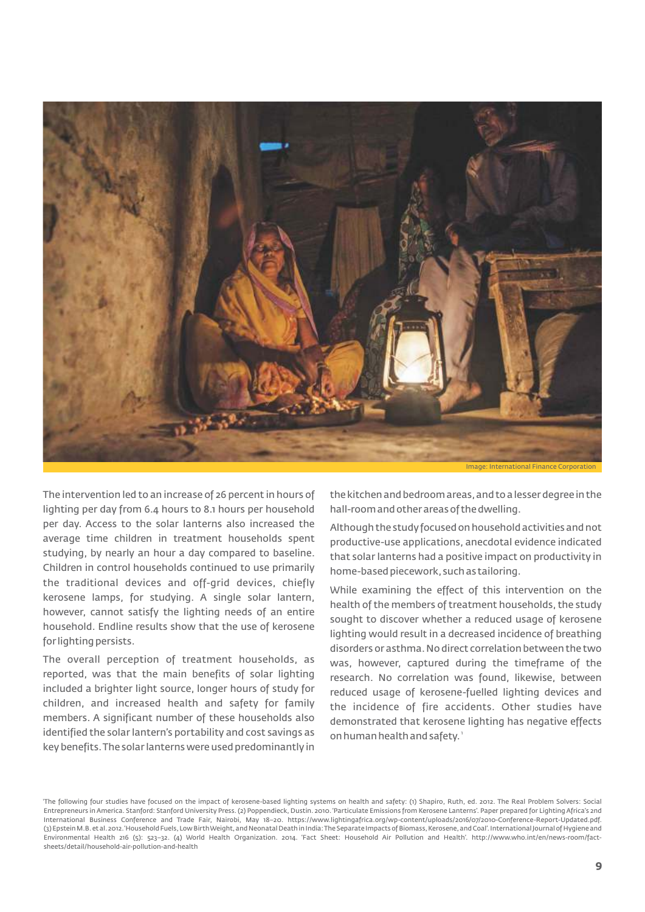

Image: International Finance Corporation

The intervention led to an increase of 26 percent in hours of lighting per day from 6.4 hours to 8.1 hours per household per day. Access to the solar lanterns also increased the average time children in treatment households spent studying, by nearly an hour a day compared to baseline. Children in control households continued to use primarily the traditional devices and off-grid devices, chiefly kerosene lamps, for studying. A single solar lantern, however, cannot satisfy the lighting needs of an entire household. Endline results show that the use of kerosene for lighting persists.

The overall perception of treatment households, as reported, was that the main benefits of solar lighting included a brighter light source, longer hours of study for children, and increased health and safety for family members. A significant number of these households also identified the solar lantern's portability and cost savings as key benefits.The solar lanterns were used predominantly in

the kitchen and bedroom areas,and to a lesser degree in the hall-room and other areas of the dwelling.

Although the study focused on household activities and not productive-use applications, anecdotal evidence indicated that solar lanterns had a positive impact on productivity in home-based piecework, such as tailoring.

While examining the effect of this intervention on the health of the members of treatment households, the study sought to discover whether a reduced usage of kerosene lighting would result in a decreased incidence of breathing disorders or asthma.No direct correlation between the two was, however, captured during the timeframe of the research. No correlation was found, likewise, between reduced usage of kerosene-fuelled lighting devices and the incidence of fire accidents. Other studies have demonstrated that kerosene lighting has negative effects on human health and safety.'

<sup>1</sup> The following four studies have focused on the impact of kerosene-based lighting systems on health and safety: (1) Shapiro, Ruth, ed. 2012. The Real Problem Solvers: Social Entrepreneurs in America. Stanford: Stanford University Press. (2) Poppendieck, Dustin. 2010.'Particulate Emissions from Kerosene Lanterns'. Paper prepared for Lighting Africa's 2nd International Business Conference and Trade Fair, Nairobi, May 18–20. https://www.lightingafrica.org/wp-content/uploads/2016/07/2010-Conference-Report-Updated.pdf. (3) Epstein M.B.et al.2012.'Household Fuels,Low Birth Weight,and Neonatal Death in India: The Separate Impacts of Biomass,Kerosene,and Coal'.International Journal of Hygiene and Environmental Health 216 (5): 523–32. (4) World Health Organization. 2014. 'Fact Sheet: Household Air Pollution and Health'. http://www.who.int/en/news-room/factsheets/detail/household-air-pollution-and-health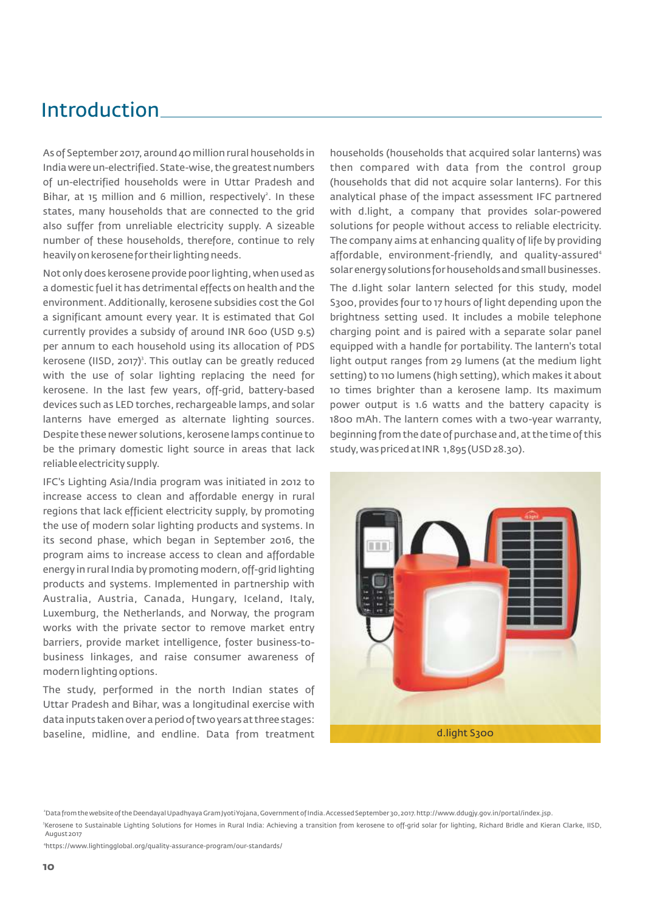# Introduction

As of September 2017, around 40 million rural households in India were un-electrified.State-wise, the greatest numbers of un-electrified households were in Uttar Pradesh and Bihar, at 15 million and 6 million, respectively<sup>2</sup>. In these states, many households that are connected to the grid also suffer from unreliable electricity supply. A sizeable number of these households, therefore, continue to rely heavily on kerosene for their lighting needs.

Not only does kerosene provide poor lighting, when used as a domestic fuel it has detrimental effects on health and the environment. Additionally, kerosene subsidies cost the GoI a significant amount every year. It is estimated that GoI currently provides a subsidy of around INR 600 (USD 9.5) per annum to each household using its allocation of PDS kerosene (IISD, 2017)<sup>3</sup>. This outlay can be greatly reduced with the use of solar lighting replacing the need for kerosene. In the last few years, off-grid, battery-based devices such as LED torches, rechargeable lamps, and solar lanterns have emerged as alternate lighting sources. Despite these newer solutions, kerosene lamps continue to be the primary domestic light source in areas that lack reliable electricity supply.

IFC's Lighting Asia/India program was initiated in 2012 to increase access to clean and affordable energy in rural regions that lack efficient electricity supply, by promoting the use of modern solar lighting products and systems. In its second phase, which began in September 2016, the program aims to increase access to clean and affordable energy in rural India by promoting modern, off-grid lighting products and systems. Implemented in partnership with Australia, Austria, Canada, Hungary, Iceland, Italy, Luxemburg, the Netherlands, and Norway, the program works with the private sector to remove market entry barriers, provide market intelligence, foster business-tobusiness linkages, and raise consumer awareness of modern lighting options.

The study, performed in the north Indian states of Uttar Pradesh and Bihar, was a longitudinal exercise with data inputs taken over a period of two years at three stages: baseline, midline, and endline. Data from treatment

households (households that acquired solar lanterns) was then compared with data from the control group (households that did not acquire solar lanterns). For this analytical phase of the impact assessment IFC partnered with d.light, a company that provides solar-powered solutions for people without access to reliable electricity. The company aims at enhancing quality of life by providing affordable, environment-friendly, and quality-assured<sup>4</sup> solar energy solutions for households and small businesses.

The d.light solar lantern selected for this study, model S300, provides four to 17 hours of light depending upon the brightness setting used. It includes a mobile telephone charging point and is paired with a separate solar panel equipped with a handle for portability. The lantern's total light output ranges from 29 lumens (at the medium light setting) to 110 lumens (high setting), which makes it about 10 times brighter than a kerosene lamp. Its maximum power output is 1.6 watts and the battery capacity is 1800 mAh. The lantern comes with a two-year warranty, beginning from the date of purchase and,at the time of this study, was priced at INR 1,895 (USD 28.30).



<sup>2</sup>Data from the website of the Deendayal Upadhyaya Gram Jyoti Yojana,Government of India.Accessed September 30,2017.http://www.ddugjy.gov.in/portal/index.jsp.

<sup>3</sup>Kerosene to Sustainable Lighting Solutions for Homes in Rural India: Achieving a transition from kerosene to off-grid solar for lighting, Richard Bridle and Kieran Clarke, IISD, August 2017

4 https://www.lightingglobal.org/quality-assurance-program/our-standards/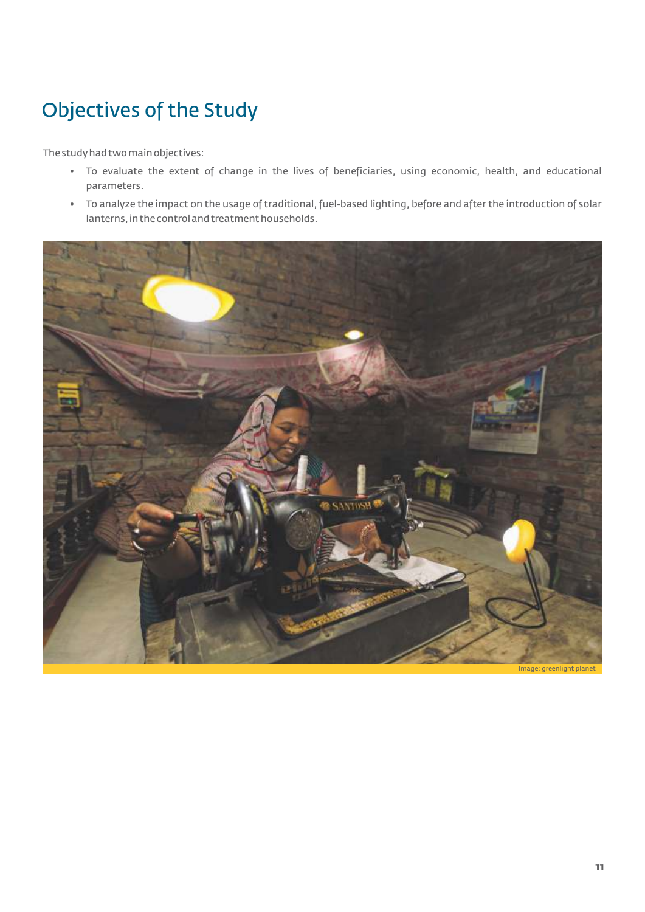# Objectives of the Study

The study had two main objectives:

- To evaluate the extent of change in the lives of beneficiaries, using economic, health, and educational parameters.
- To analyze the impact on the usage of traditional, fuel-based lighting, before and after the introduction of solar lanterns,in the control and treatment households.

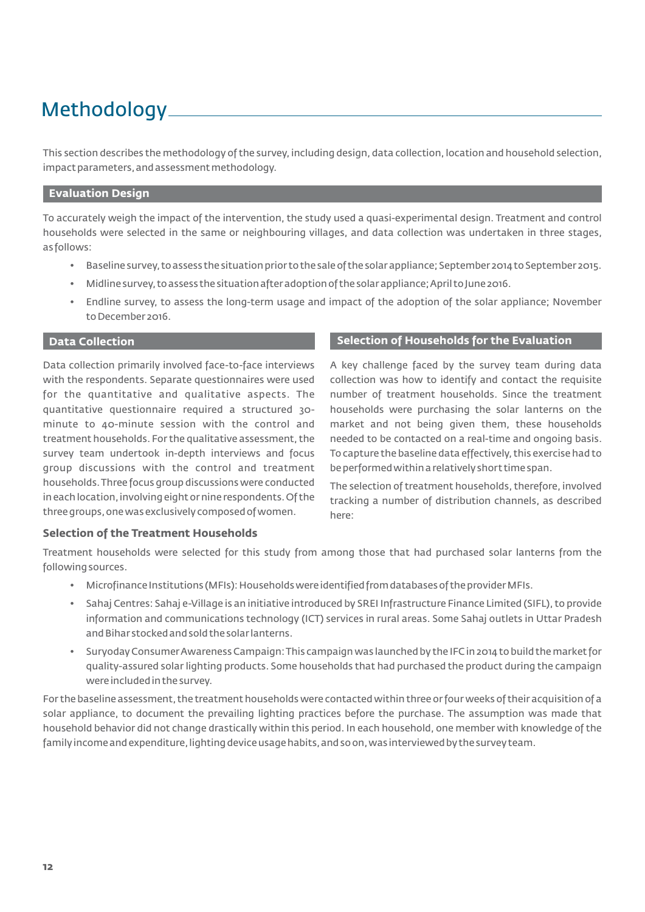# Methodology

This section describes the methodology of the survey, including design, data collection, location and household selection, impact parameters,and assessment methodology.

#### **Evaluation Design**

To accurately weigh the impact of the intervention, the study used a quasi-experimental design. Treatment and control households were selected in the same or neighbouring villages, and data collection was undertaken in three stages, as follows:

- Baseline survey, to assess the situation prior to the sale of the solar appliance; September 2014 to September 2015.
- Midline survey, to assess the situation after adoption of the solar appliance; April to June 2016.
- Endline survey, to assess the long-term usage and impact of the adoption of the solar appliance; November to December 2016.

Data collection primarily involved face-to-face interviews with the respondents. Separate questionnaires were used for the quantitative and qualitative aspects. The quantitative questionnaire required a structured 30 minute to 40-minute session with the control and treatment households. For the qualitative assessment, the survey team undertook in-depth interviews and focus group discussions with the control and treatment households.Three focus group discussions were conducted in each location,involving eight or nine respondents.Of the three groups,one was exclusively composed of women.

#### **Data Collection Selection of Households for the Evaluation**

A key challenge faced by the survey team during data collection was how to identify and contact the requisite number of treatment households. Since the treatment households were purchasing the solar lanterns on the market and not being given them, these households needed to be contacted on a real-time and ongoing basis. To capture the baseline data effectively, this exercise had to be performed within a relatively short time span.

The selection of treatment households, therefore, involved tracking a number of distribution channels, as described here:

### **Selection of the Treatment Households**

Treatment households were selected for this study from among those that had purchased solar lanterns from the following sources.

- Microfinance Institutions (MFIs): Households were identified from databases of the provider MFIs.
- Sahaj Centres: Sahaj e-Village is an initiative introduced by SREI Infrastructure Finance Limited (SIFL), to provide information and communications technology (ICT) services in rural areas. Some Sahaj outlets in Uttar Pradesh and Bihar stocked and sold the solar lanterns.
- Suryoday Consumer Awareness Campaign: This campaign was launched by the IFC in 2014 to build the market for quality-assured solar lighting products. Some households that had purchased the product during the campaign were included in the survey.

For the baseline assessment, the treatment households were contacted within three or four weeks of their acquisition of a solar appliance, to document the prevailing lighting practices before the purchase. The assumption was made that household behavior did not change drastically within this period. In each household, one member with knowledge of the family income and expenditure, lighting device usage habits, and so on, was interviewed by the survey team.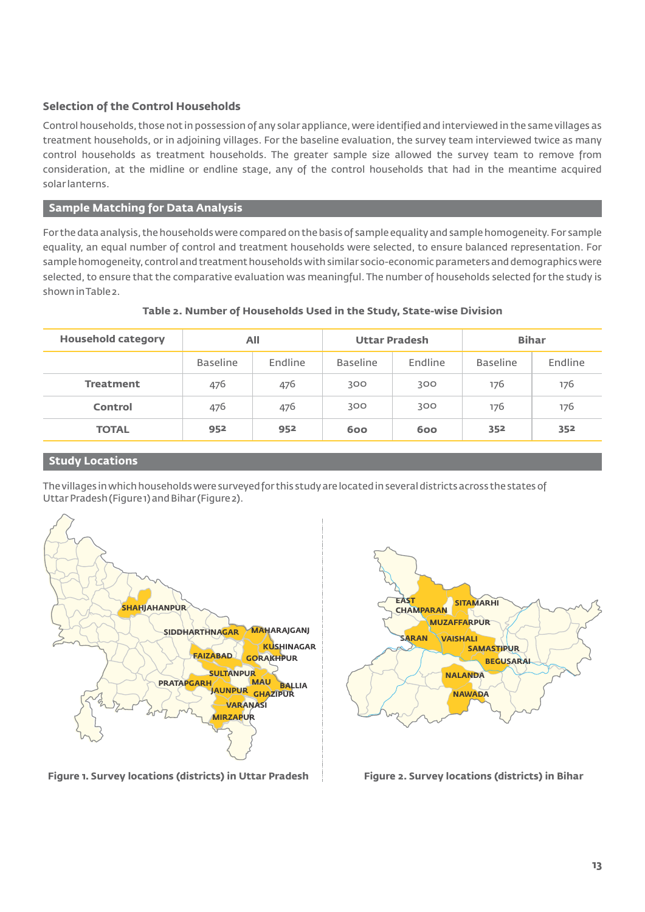# **Selection of the Control Households**

Control households, those not in possession of any solar appliance,were identified and interviewed in the same villages as treatment households, or in adjoining villages. For the baseline evaluation, the survey team interviewed twice as many control households as treatment households. The greater sample size allowed the survey team to remove from consideration, at the midline or endline stage, any of the control households that had in the meantime acquired solar lanterns.

# **Sample Matching for Data Analysis**

For the data analysis, the households were compared on the basis of sample equality and sample homogeneity.For sample equality, an equal number of control and treatment households were selected, to ensure balanced representation. For sample homogeneity,control and treatment households with similar socio-economic parameters and demographics were selected, to ensure that the comparative evaluation was meaningful. The number of households selected for the study is shown in Table 2.

| <b>Household category</b> | All             |         | <b>Uttar Pradesh</b> |         | <b>Bihar</b>    |         |
|---------------------------|-----------------|---------|----------------------|---------|-----------------|---------|
|                           | <b>Baseline</b> | Endline | <b>Baseline</b>      | Endline | <b>Baseline</b> | Endline |
| <b>Treatment</b>          | 476             | 476     | 300                  | 300     | 176             | 176     |
| Control                   | 476             | 476     | 300                  | 300     | 176             | 176     |
| <b>TOTAL</b>              | 952             | 952     | 600                  | 600     | 352             | 352     |

# **Table 2. Number of Households Used in the Study, State-wise Division**

### **Study Locations**

The villages in which households were surveyed for this study are located in several districts across the states of Uttar Pradesh (Figure 1) and Bihar (Figure 2).



**EAST CHAMPARAN SITAMARHI MUZAFFARPUR SARAN VAISHALI SAMASTIPUR BEGUSARAI NALANDA NAWADA**

**Figure 1. Survey locations (districts) in Uttar Pradesh Figure 2. Survey locations (districts) in Bihar**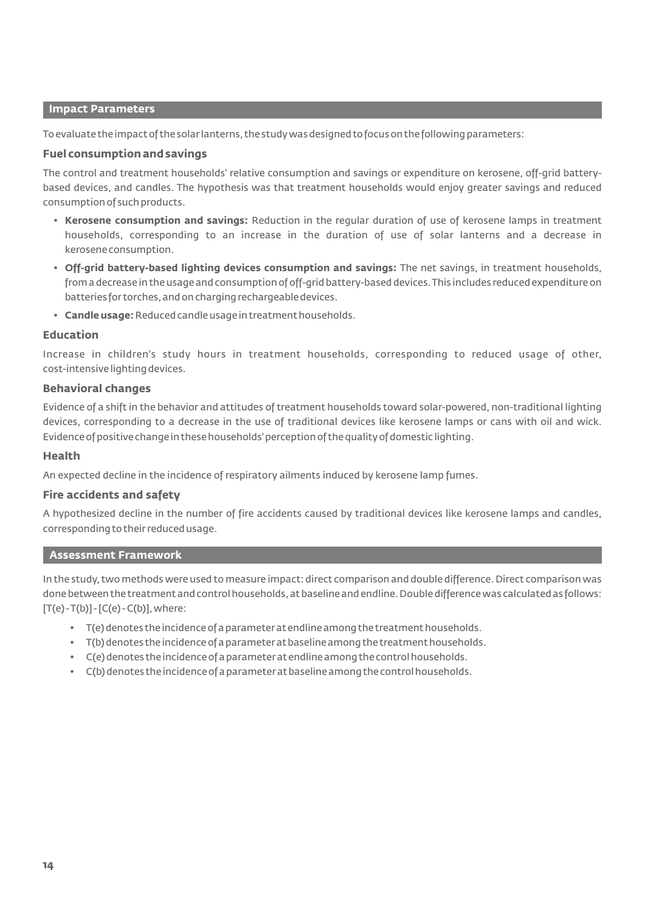#### **Impact Parameters**

To evaluate the impact of the solar lanterns, the study was designed to focus on the following parameters:

#### **Fuel consumption and savings**

The control and treatment households' relative consumption and savings or expenditure on kerosene, off-grid batterybased devices, and candles. The hypothesis was that treatment households would enjoy greater savings and reduced consumption of such products.

- **Kerosene consumption and savings:** Reduction in the regular duration of use of kerosene lamps in treatment households, corresponding to an increase in the duration of use of solar lanterns and a decrease in kerosene consumption.
- **Off-grid battery-based lighting devices consumption and savings:** The net savings, in treatment households, from a decrease in the usage and consumption of off-grid battery-based devices.This includes reduced expenditure on batteries for torches,and on charging rechargeable devices.
- **Candle usage:**Reduced candle usage in treatment households.

#### **Education**

Increase in children's study hours in treatment households, corresponding to reduced usage of other, cost-intensive lighting devices.

#### **Behavioral changes**

Evidence of a shift in the behavior and attitudes of treatment households toward solar-powered, non-traditional lighting devices, corresponding to a decrease in the use of traditional devices like kerosene lamps or cans with oil and wick. Evidence of positive change in these households' perception of the quality of domestic lighting.

#### **Health**

An expected decline in the incidence of respiratory ailments induced by kerosene lamp fumes.

### **Fire accidents and safety**

A hypothesized decline in the number of fire accidents caused by traditional devices like kerosene lamps and candles, corresponding to their reduced usage.

#### **Assessment Framework**

In the study, two methods were used to measure impact: direct comparison and double difference.Direct comparison was done between the treatment and control households, at baseline and endline. Double difference was calculated as follows:  $[T(e)-T(b)] - [C(e)-C(b)]$ , where:

- T(e) denotes the incidence of a parameter at endline among the treatment households.
- T(b) denotes the incidence of a parameter at baseline among the treatment households.
- C(e) denotes the incidence of a parameter at endline among the control households.
- C(b) denotes the incidence of a parameter at baseline among the control households.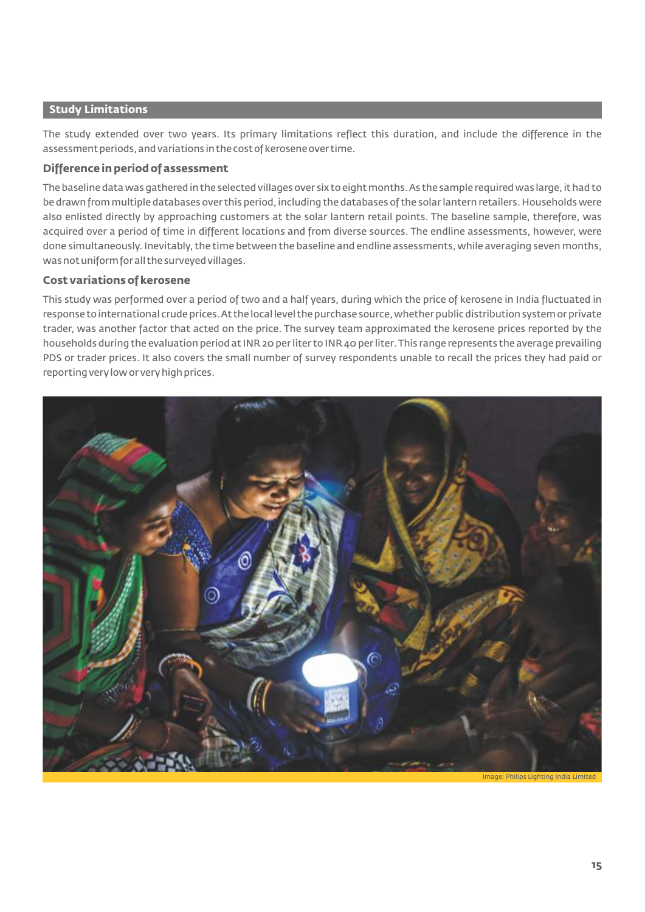## **Study Limitations**

The study extended over two years. Its primary limitations reflect this duration, and include the difference in the assessment periods,and variations in the cost of kerosene over time.

# **Difference in period of assessment**

The baseline data was gathered in the selected villages over six to eight months.As the sample required was large,it had to be drawn from multiple databases over this period, including the databases of the solar lantern retailers. Households were also enlisted directly by approaching customers at the solar lantern retail points. The baseline sample, therefore, was acquired over a period of time in different locations and from diverse sources. The endline assessments, however, were done simultaneously. Inevitably, the time between the baseline and endline assessments, while averaging seven months, was not uniform for all the surveyed villages.

# **Cost variations of kerosene**

This study was performed over a period of two and a half years, during which the price of kerosene in India fluctuated in response to international crude prices. At the local level the purchase source, whether public distribution system or private trader, was another factor that acted on the price. The survey team approximated the kerosene prices reported by the households during the evaluation period at INR 20 per liter to INR 40 per liter.This range represents the average prevailing PDS or trader prices. It also covers the small number of survey respondents unable to recall the prices they had paid or reporting very low or very high prices.

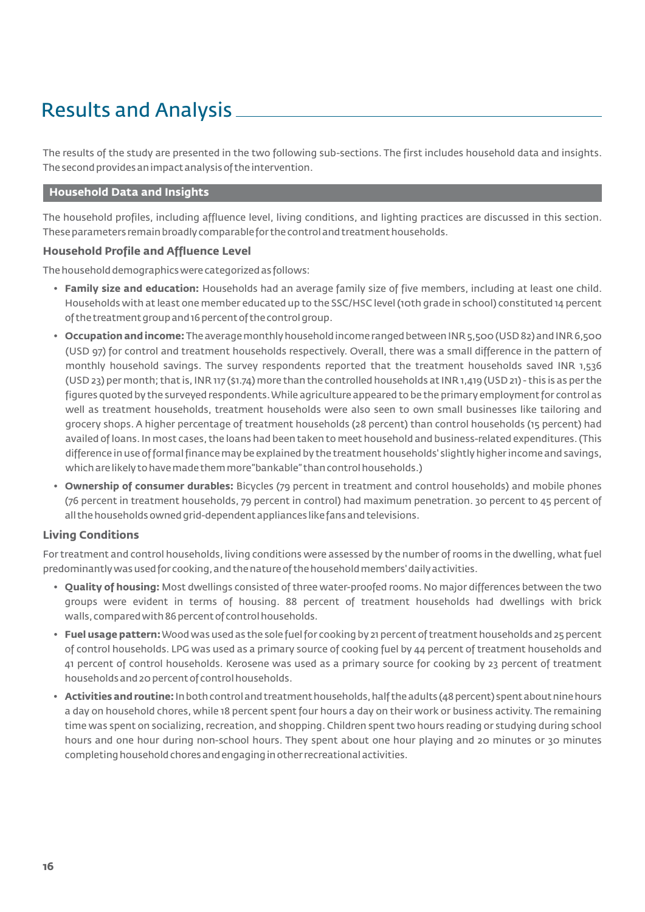# Results and Analysis

The results of the study are presented in the two following sub-sections. The first includes household data and insights. The second provides an impact analysis of the intervention.

# **Household Data and Insights**

The household profiles, including affluence level, living conditions, and lighting practices are discussed in this section. These parameters remain broadly comparable for the control and treatment households.

# **Household Profile and Affluence Level**

The household demographics were categorized as follows:

- **Family size and education:** Households had an average family size of five members, including at least one child. Households with at least one member educated up to the SSC/HSC level (10th grade in school) constituted 14 percent of the treatment group and 16 percent of the control group.
- **Occupation and income:** The average monthly household income ranged between INR 5,500 (USD 82) and INR 6,500 (USD 97) for control and treatment households respectively. Overall, there was a small difference in the pattern of monthly household savings. The survey respondents reported that the treatment households saved INR 1,536 (USD 23) per month; that is,INR 117 (\$1.74) more than the controlled households at INR 1,419 (USD 21) - this is as per the figures quoted by the surveyed respondents.While agriculture appeared to be the primary employment for control as well as treatment households, treatment households were also seen to own small businesses like tailoring and grocery shops. A higher percentage of treatment households (28 percent) than control households (15 percent) had availed of loans.In most cases, the loans had been taken to meet household and business-related expenditures.(This difference in use of formal finance may be explained by the treatment households' slightly higher income and savings, which are likely to have made them more "bankable" than control households.)
- **Ownership of consumer durables:** Bicycles (79 percent in treatment and control households) and mobile phones (76 percent in treatment households, 79 percent in control) had maximum penetration. 30 percent to 45 percent of all the households owned grid-dependent appliances like fans and televisions.

### **Living Conditions**

For treatment and control households, living conditions were assessed by the number of rooms in the dwelling, what fuel predominantly was used for cooking, and the nature of the household members' daily activities.

- **Quality of housing:** Most dwellings consisted of three water-proofed rooms. No major differences between the two groups were evident in terms of housing. 88 percent of treatment households had dwellings with brick walls, compared with 86 percent of control households.
- **Fuel usage pattern:**Wood was used as the sole fuel for cooking by 21 percent of treatment households and 25 percent of control households. LPG was used as a primary source of cooking fuel by 44 percent of treatment households and 41 percent of control households. Kerosene was used as a primary source for cooking by 23 percent of treatment households and 20 percent of control households.
- **Activities and routine:**In both control and treatment households,half the adults (48 percent) spent about nine hours a day on household chores, while 18 percent spent four hours a day on their work or business activity. The remaining time was spent on socializing, recreation, and shopping. Children spent two hours reading or studying during school hours and one hour during non-school hours. They spent about one hour playing and 20 minutes or 30 minutes completing household chores and engaging in other recreational activities.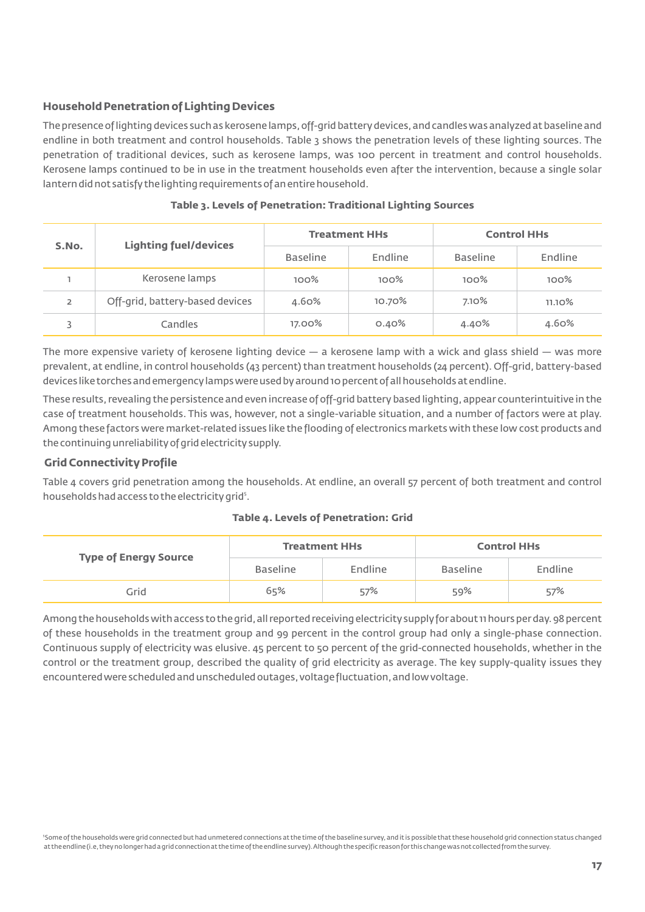# **Household Penetration of Lighting Devices**

The presence of lighting devices such as kerosene lamps, off-grid battery devices, and candles was analyzed at baseline and endline in both treatment and control households. Table 3 shows the penetration levels of these lighting sources. The penetration of traditional devices, such as kerosene lamps, was 100 percent in treatment and control households. Kerosene lamps continued to be in use in the treatment households even after the intervention, because a single solar lantern did not satisfy the lighting requirements of an entire household.

| S.No.          | <b>Lighting fuel/devices</b>    |                 | <b>Treatment HHs</b> | <b>Control HHs</b> |           |
|----------------|---------------------------------|-----------------|----------------------|--------------------|-----------|
|                |                                 | <b>Baseline</b> | Endline              | <b>Baseline</b>    | Endline   |
|                | Kerosene lamps                  | $100\%$         | $100\%$              | $100\%$            | $100\%$   |
| $\overline{2}$ | Off-grid, battery-based devices | 4.60%           | 10.70%               | 7.10%              | $11.10\%$ |
|                | Candles                         | 17.00%          | 0.40%                | 4.40%              | 4.60%     |

### **Table 3. Levels of Penetration: Traditional Lighting Sources**

The more expensive variety of kerosene lighting device — a kerosene lamp with a wick and glass shield — was more prevalent, at endline, in control households (43 percent) than treatment households (24 percent). Off-grid, battery-based devices like torches and emergency lamps were used by around 10 percent of all households at endline.

These results, revealing the persistence and even increase of off-grid battery based lighting,appear counterintuitive in the case of treatment households. This was, however, not a single-variable situation, and a number of factors were at play. Among these factors were market-related issues like the flooding of electronics markets with these low cost products and the continuing unreliability of grid electricity supply.

# **Grid Connectivity Profile**

Table 4 covers grid penetration among the households. At endline, an overall 57 percent of both treatment and control households had access to the electricity grid<sup>5</sup>.

### **Table 4. Levels of Penetration: Grid**

| <b>Type of Energy Source</b> | <b>Treatment HHs</b> |         | <b>Control HHs</b> |         |
|------------------------------|----------------------|---------|--------------------|---------|
|                              | <b>Baseline</b>      | Endline | <b>Baseline</b>    | Endline |
| Grid                         | 65%                  | 57%     | 59%                | 57%     |

Among the households with access to the grid, all reported receiving electricity supply for about 11 hours per day. 98 percent of these households in the treatment group and 99 percent in the control group had only a single-phase connection. Continuous supply of electricity was elusive. 45 percent to 50 percent of the grid-connected households, whether in the control or the treatment group, described the quality of grid electricity as average. The key supply-quality issues they encountered were scheduled and unscheduled outages,voltage fluctuation,and low voltage.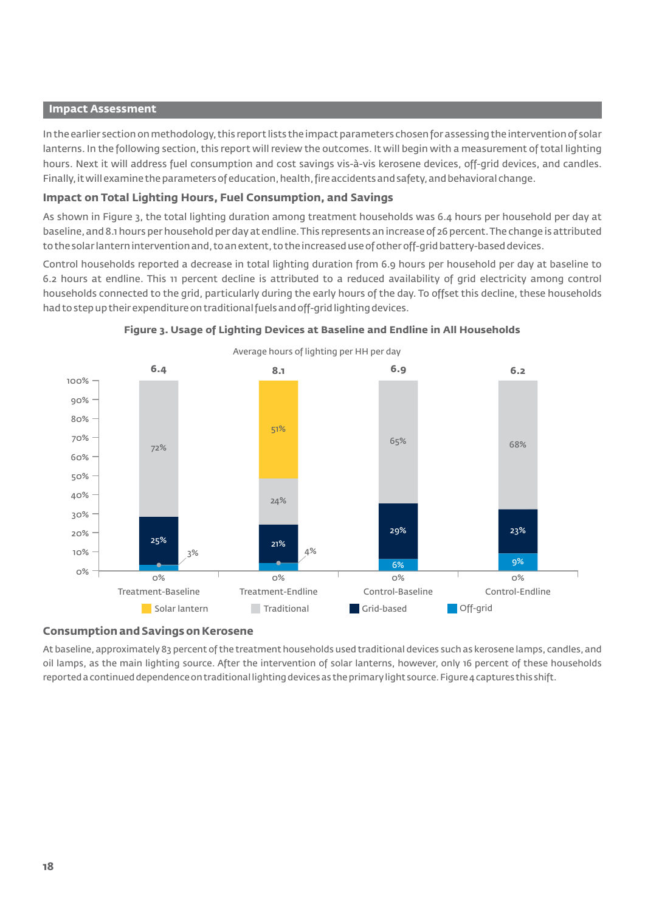#### **Impact Assessment**

In the earlier section on methodology, this report lists the impact parameters chosen for assessing the intervention of solar lanterns. In the following section, this report will review the outcomes. It will begin with a measurement of total lighting hours. Next it will address fuel consumption and cost savings vis-à-vis kerosene devices, off-grid devices, and candles. Finally, it will examine the parameters of education, health, fire accidents and safety, and behavioral change.

### **Impact on Total Lighting Hours, Fuel Consumption, and Savings**

As shown in Figure 3, the total lighting duration among treatment households was 6.4 hours per household per day at baseline, and 8.1 hours per household per day at endline. This represents an increase of 26 percent. The change is attributed to the solar lantern intervention and, to an extent, to the increased use of other off-grid battery-based devices.

Control households reported a decrease in total lighting duration from 6.9 hours per household per day at baseline to 6.2 hours at endline. This 11 percent decline is attributed to a reduced availability of grid electricity among control households connected to the grid, particularly during the early hours of the day. To offset this decline, these households had to step up their expenditure on traditional fuels and off-grid lighting devices.





# **Consumption and Savings on Kerosene**

At baseline, approximately 83 percent of the treatment households used traditional devices such as kerosene lamps, candles, and oil lamps, as the main lighting source. After the intervention of solar lanterns, however, only 16 percent of these households reported a continued dependence on traditional lighting devices as the primary light source. Figure 4 captures this shift.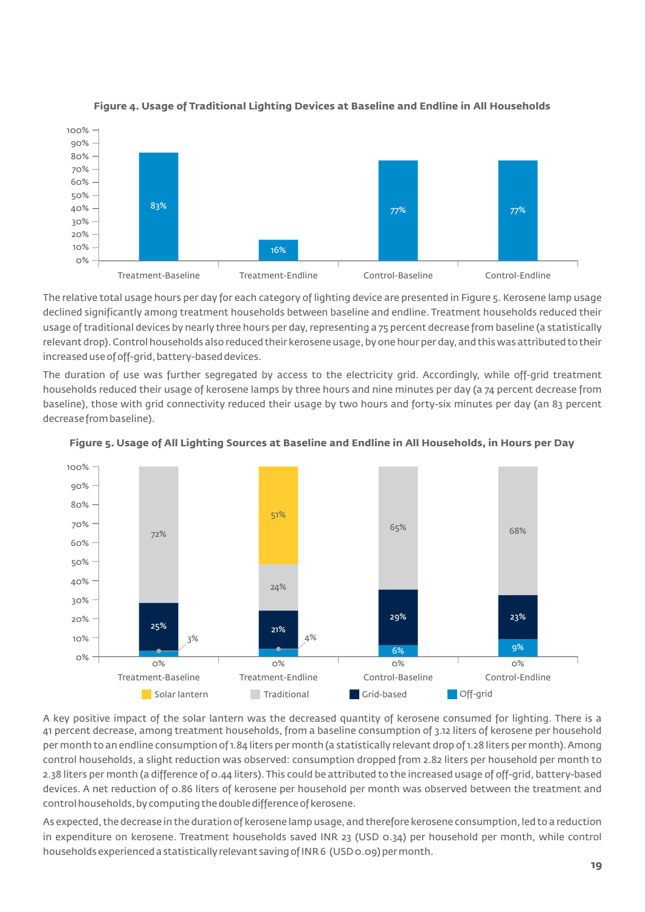



The relative total usage hours per day for each category of lighting device are presented in Figure 5. Kerosene lamp usage declined significantly among treatment households between baseline and endline. Treatment households reduced their usage of traditional devices by nearly three hours per day, representing a 75 percent decrease from baseline (a statistically relevant drop). Control households also reduced their kerosene usage, by one hour per day, and this was attributed to their increased use of off-grid, battery-based devices.

The duration of use was further segregated by access to the electricity grid. Accordingly, while off-grid treatment households reduced their usage of kerosene lamps by three hours and nine minutes per day (a 74 percent decrease from baseline), those with grid connectivity reduced their usage by two hours and forty-six minutes per day (an 83 percent decrease from baseline).





A key positive impact of the solar lantern was the decreased quantity of kerosene consumed for lighting. There is a 41 percent decrease, among treatment households, from a baseline consumption of 3.12 liters of kerosene per household per month to an endline consumption of 1.84 liters per month (a statistically relevant drop of 1.28 liters per month).Among control households, a slight reduction was observed: consumption dropped from 2.82 liters per household per month to 2.38 liters per month (a difference of 0.44 liters).This could be attributed to the increased usage of off-grid, battery-based devices. A net reduction of 0.86 liters of kerosene per household per month was observed between the treatment and control households, by computing the double difference of kerosene.

As expected, the decrease in the duration of kerosene lamp usage, and therefore kerosene consumption, led to a reduction in expenditure on kerosene. Treatment households saved INR 23 (USD 0.34) per household per month, while control households experienced a statistically relevant saving of INR 6 (USD 0.09) per month.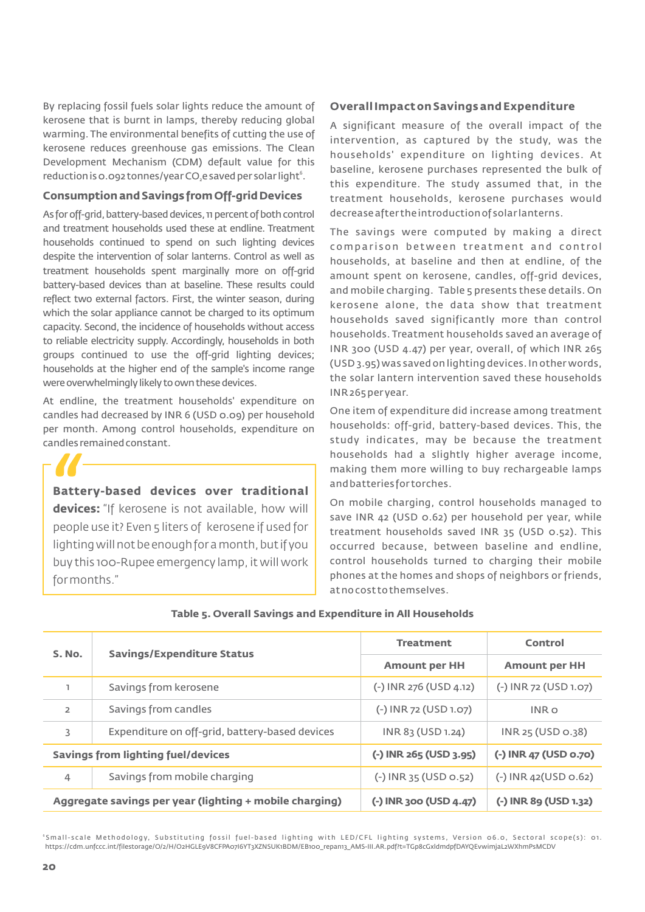By replacing fossil fuels solar lights reduce the amount of kerosene that is burnt in lamps, thereby reducing global warming. The environmental benefits of cutting the use of kerosene reduces greenhouse gas emissions. The Clean Development Mechanism (CDM) default value for this reduction is 0.092 tonnes/year CO $_2$ e saved per solar light $^{\rm 6}$ .

### **Consumption and Savings from Off-grid Devices**

As for off-grid, battery-based devices, 11 percent of both control and treatment households used these at endline. Treatment households continued to spend on such lighting devices despite the intervention of solar lanterns. Control as well as treatment households spent marginally more on off-grid battery-based devices than at baseline. These results could reflect two external factors. First, the winter season, during which the solar appliance cannot be charged to its optimum capacity. Second, the incidence of households without access to reliable electricity supply. Accordingly, households in both groups continued to use the off-grid lighting devices; households at the higher end of the sample's income range were overwhelmingly likely to own these devices.

At endline, the treatment households' expenditure on candles had decreased by INR 6 (USD 0.09) per household per month. Among control households, expenditure on candles remained constant.

**Battery-based devices over traditional devices:** "If kerosene is not available, how will people use it? Even 5 liters of kerosene if used for lighting will not be enough for a month, but if you buy this 100-Rupee emergency lamp, it will work for months."

### **Overall Impact on Savings and Expenditure**

A significant measure of the overall impact of the intervention, as captured by the study, was the households' expenditure on lighting devices. At baseline, kerosene purchases represented the bulk of this expenditure. The study assumed that, in the treatment households, kerosene purchases would decrease after the introduction of solar lanterns.

The savings were computed by making a direct comparison between treatment and control households, at baseline and then at endline, of the amount spent on kerosene, candles, off-grid devices, and mobile charging. Table 5 presents these details. On kerosene alone, the data show that treatment households saved significantly more than control households. Treatment households saved an average of INR 300 (USD 4.47) per year, overall, of which INR 265 (USD 3.95) was saved on lighting devices.In other words, the solar lantern intervention saved these households INR 265 per year.

One item of expenditure did increase among treatment households: off-grid, battery-based devices. This, the study indicates, may be because the treatment households had a slightly higher average income, making them more willing to buy rechargeable lamps and batteries for torches.

On mobile charging, control households managed to save INR 42 (USD 0.62) per household per year, while treatment households saved INR 35 (USD 0.52). This occurred because, between baseline and endline, control households turned to charging their mobile phones at the homes and shops of neighbors or friends, at no cost to themselves.

| S. No.                                                  |                                                | <b>Treatment</b>         | Control                |  |
|---------------------------------------------------------|------------------------------------------------|--------------------------|------------------------|--|
|                                                         | <b>Savings/Expenditure Status</b>              | <b>Amount per HH</b>     | <b>Amount per HH</b>   |  |
| L.                                                      | Savings from kerosene                          | (-) INR 276 (USD 4.12)   | (-) INR 72 (USD 1.07)  |  |
| $\overline{2}$                                          | Savings from candles                           | (-) INR 72 (USD 1.07)    | INR o                  |  |
| 3                                                       | Expenditure on off-grid, battery-based devices | INR 83 (USD 1.24)        | INR 25 (USD 0.38)      |  |
|                                                         | <b>Savings from lighting fuel/devices</b>      | (-) INR 265 (USD 3.95)   | (-) INR 47 (USD 0.70)  |  |
| $\overline{4}$                                          | Savings from mobile charging                   | $(-)$ INR 35 (USD 0.52)  | $(-)$ INR 42(USD 0.62) |  |
| Aggregate savings per year (lighting + mobile charging) |                                                | $(-)$ INR 300 (USD 4.47) | (-) INR 89 (USD 1.32)  |  |

#### **Table 5. Overall Savings and Expenditure in All Households**

6 Smal l- s cal e Me thodology, Subs t i tut ing fos s i l fue l-bas ed l ight ing wi th LED/CF L l ight ing s y s t ems , Ve r s ion 06.0, S e c toral s cope ( s ): 01. https://cdm.unfccc.int/filestorage/O/2/H/O2HGLE9V8CFPA07I6YT3XZNSUK1BDM/EB100\_repan13\_AMS-III.AR.pdf?t=TGp8cGxldmdpfDAYQEvwimjaL2WXhmPsMCDV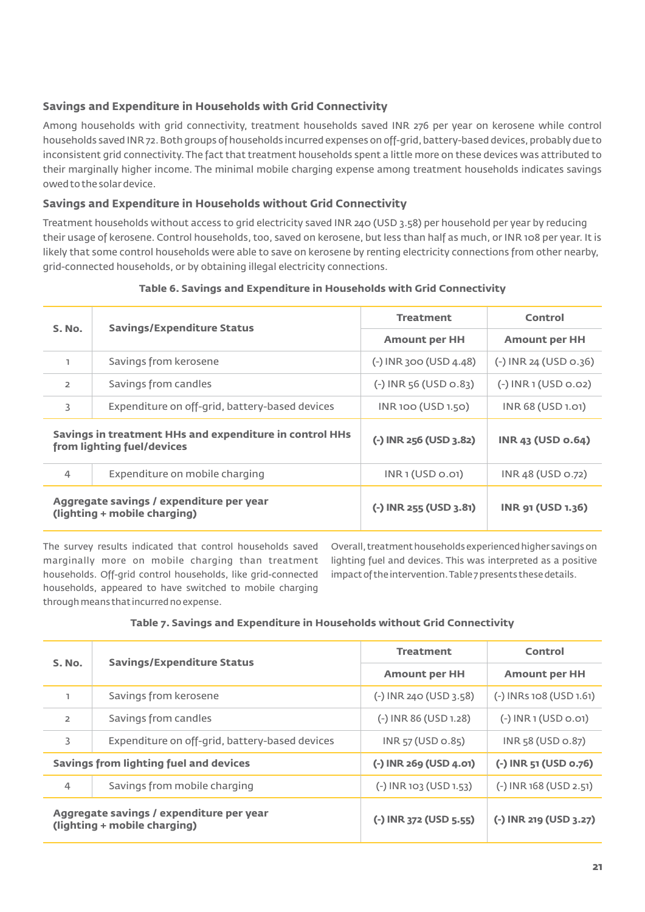# **Savings and Expenditure in Households with Grid Connectivity**

Among households with grid connectivity, treatment households saved INR 276 per year on kerosene while control households saved INR 72. Both groups of households incurred expenses on off-grid, battery-based devices, probably due to inconsistent grid connectivity. The fact that treatment households spent a little more on these devices was attributed to their marginally higher income. The minimal mobile charging expense among treatment households indicates savings owed to the solar device.

# **Savings and Expenditure in Households without Grid Connectivity**

Treatment households without access to grid electricity saved INR 240 (USD 3.58) per household per year by reducing their usage of kerosene. Control households, too, saved on kerosene, but less than half as much, or INR 108 per year. It is likely that some control households were able to save on kerosene by renting electricity connections from other nearby, grid-connected households, or by obtaining illegal electricity connections.

| S. No.                                                                                | <b>Savings/Expenditure Status</b>                                        | <b>Treatment</b>         | Control                  |  |
|---------------------------------------------------------------------------------------|--------------------------------------------------------------------------|--------------------------|--------------------------|--|
|                                                                                       |                                                                          | <b>Amount per HH</b>     | <b>Amount per HH</b>     |  |
| L.                                                                                    | Savings from kerosene                                                    | $(-)$ INR 300 (USD 4.48) | (-) INR 24 (USD 0.36)    |  |
| $\overline{2}$                                                                        | Savings from candles                                                     | $(-)$ INR 56 (USD 0.83)  | $(-)$ INR 1 (USD 0.02)   |  |
| 3<br>Expenditure on off-grid, battery-based devices                                   |                                                                          | INR 100 (USD 1.50)       | INR 68 (USD 1.01)        |  |
| Savings in treatment HHs and expenditure in control HHs<br>from lighting fuel/devices |                                                                          | $(-)$ INR 256 (USD 3.82) | <b>INR 43 (USD 0.64)</b> |  |
| 4                                                                                     | Expenditure on mobile charging                                           | INR1 (USD 0.01)          | INR 48 (USD 0.72)        |  |
|                                                                                       | Aggregate savings / expenditure per year<br>(lighting + mobile charging) | $(-)$ INR 255 (USD 3.81) | <b>INR 91 (USD 1.36)</b> |  |

#### **Table 6. Savings and Expenditure in Households with Grid Connectivity**

The survey results indicated that control households saved marginally more on mobile charging than treatment households. Off-grid control households, like grid-connected households, appeared to have switched to mobile charging through means that incurred no expense.

Overall, treatment households experienced higher savings on lighting fuel and devices. This was interpreted as a positive impact of the intervention.Table 7 presents these details.

### **Table 7. Savings and Expenditure in Households without Grid Connectivity**

| S. No.                                 | <b>Savings/Expenditure Status</b>                                        | <b>Treatment</b>         | Control                   |  |
|----------------------------------------|--------------------------------------------------------------------------|--------------------------|---------------------------|--|
|                                        |                                                                          | <b>Amount per HH</b>     | <b>Amount per HH</b>      |  |
| ı                                      | Savings from kerosene                                                    | $(-)$ INR 240 (USD 3.58) | $(-)$ INRs 108 (USD 1.61) |  |
| $\overline{2}$                         | Savings from candles                                                     | (-) INR 86 (USD 1.28)    | $(-)$ INR 1 (USD 0.01)    |  |
| 3                                      | Expenditure on off-grid, battery-based devices                           | $INR$ 57 (USD 0.85)      | $INR$ 58 (USD $O.87$ )    |  |
| Savings from lighting fuel and devices |                                                                          | (-) INR 269 (USD 4.01)   | (-) INR 51 (USD 0.76)     |  |
| $\overline{4}$                         | Savings from mobile charging                                             | $(-)$ INR 103 (USD 1.53) | $(-)$ INR 168 (USD 2.51)  |  |
|                                        | Aggregate savings / expenditure per year<br>(lighting + mobile charging) | (-) INR 372 (USD 5.55)   | (-) INR 219 (USD 3.27)    |  |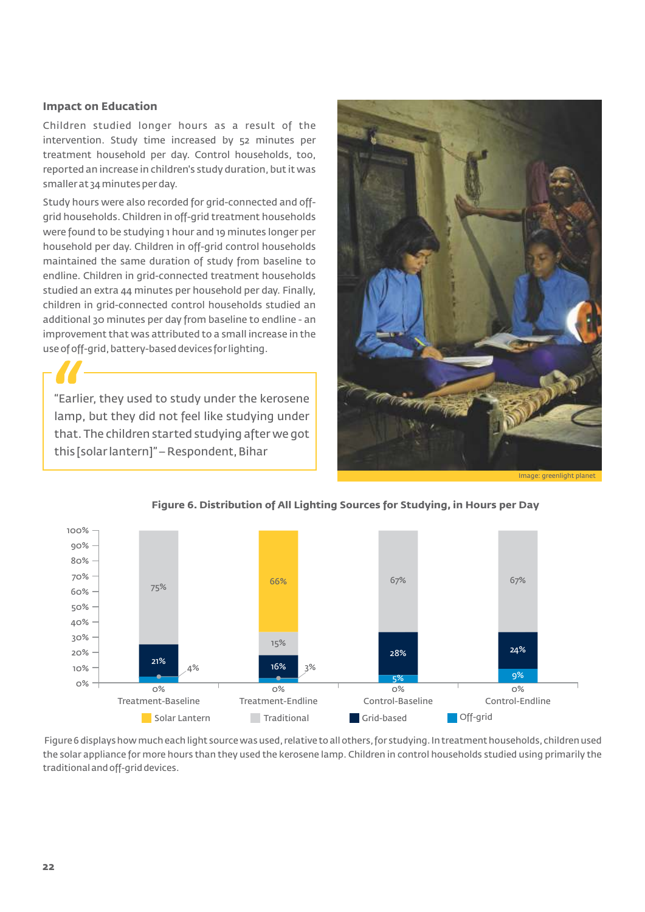#### **Impact on Education**

Children studied longer hours as a result of the intervention. Study time increased by 52 minutes per treatment household per day. Control households, too, reported an increase in children's study duration, but it was smaller at 34 minutes per day.

Study hours were also recorded for grid-connected and offgrid households. Children in off-grid treatment households were found to be studying 1 hour and 19 minutes longer per household per day. Children in off-grid control households maintained the same duration of study from baseline to endline. Children in grid-connected treatment households studied an extra 44 minutes per household per day. Finally, children in grid-connected control households studied an additional 30 minutes per day from baseline to endline - an improvement that was attributed to a small increase in the use of off-grid, battery-based devices for lighting.

"Earlier, they used to study under the kerosene lamp, but they did not feel like studying under that. The children started studying after we got this [solar lantern]" – Respondent, Bihar



Image: greenlight planet



#### **Figure 6. Distribution of All Lighting Sources for Studying, in Hours per Day**

Figure 6 displays how much each light source was used, relative to all others, for studying. In treatment households, children used the solar appliance for more hours than they used the kerosene lamp. Children in control households studied using primarily the traditional and off-grid devices.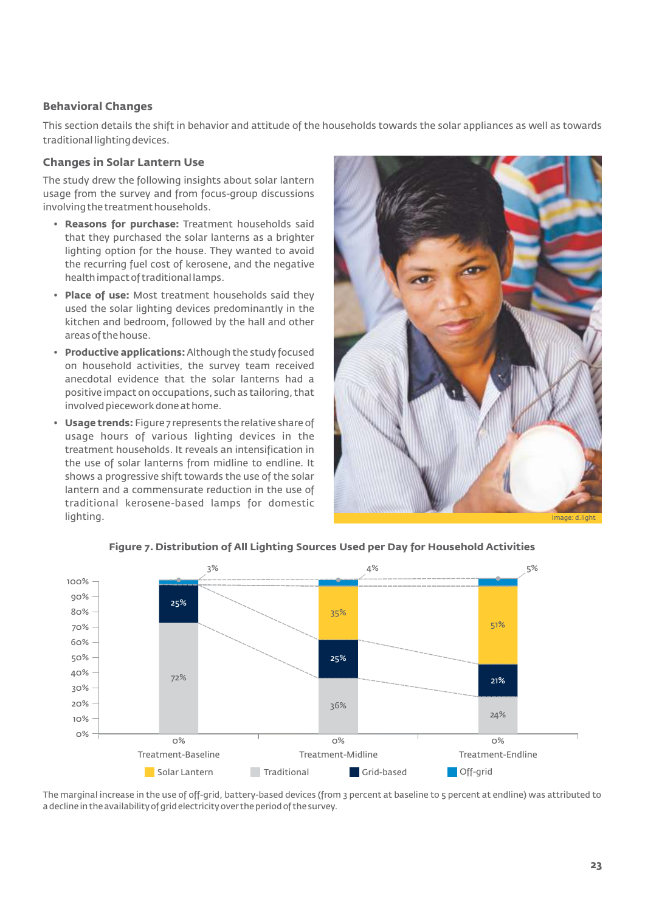### **Behavioral Changes**

This section details the shift in behavior and attitude of the households towards the solar appliances as well as towards traditional lighting devices.

#### **Changes in Solar Lantern Use**

The study drew the following insights about solar lantern usage from the survey and from focus-group discussions involving the treatment households.

- **Reasons for purchase:** Treatment households said that they purchased the solar lanterns as a brighter lighting option for the house. They wanted to avoid the recurring fuel cost of kerosene, and the negative health impact of traditional lamps.
- **Place of use:** Most treatment households said they used the solar lighting devices predominantly in the kitchen and bedroom, followed by the hall and other areas of the house.
- **Productive applications:**Although the study focused on household activities, the survey team received anecdotal evidence that the solar lanterns had a positive impact on occupations, such as tailoring, that involved piecework done at home.
- **Usage trends:** Figure 7 represents the relative share of usage hours of various lighting devices in the treatment households. It reveals an intensification in the use of solar lanterns from midline to endline. It shows a progressive shift towards the use of the solar lantern and a commensurate reduction in the use of traditional kerosene-based lamps for domestic lighting.





### **Figure 7. Distribution of All Lighting Sources Used per Day for Household Activities**

The marginal increase in the use of off-grid, battery-based devices (from 3 percent at baseline to 5 percent at endline) was attributed to a decline in the availability of grid electricity over the period of the survey.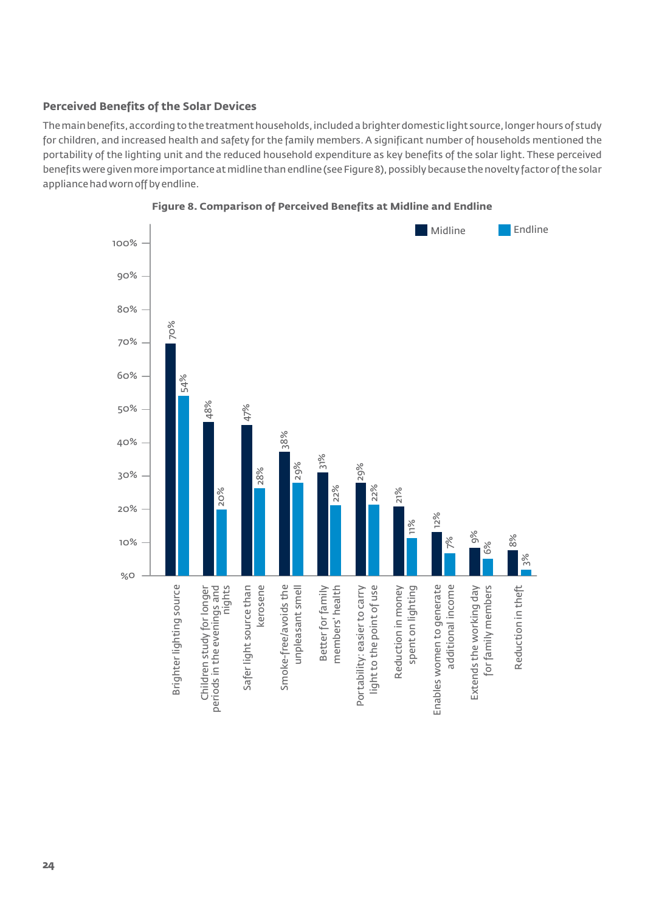# **Perceived Benefits of the Solar Devices**

The main benefits, according to the treatment households, included a brighter domestic light source, longer hours of study for children, and increased health and safety for the family members.A significant number of households mentioned the portability of the lighting unit and the reduced household expenditure as key benefits of the solar light. These perceived benefits were given more importance at midline than endline (see Figure 8), possibly because the novelty factor of the solar appliance had worn off by endline.



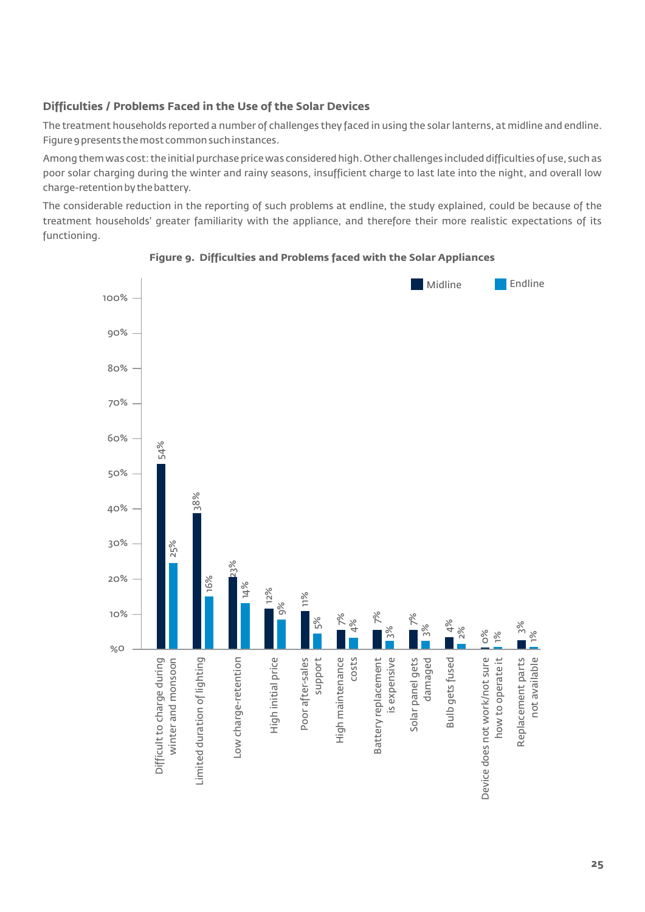# **Difficulties / Problems Faced in the Use of the Solar Devices**

The treatment households reported a number of challenges they faced in using the solar lanterns, at midline and endline. Figure 9 presents the most common such instances.

Among them was cost: the initial purchase price was considered high. Other challenges included difficulties of use, such as poor solar charging during the winter and rainy seasons, insufficient charge to last late into the night, and overall low charge-retention by the battery.

The considerable reduction in the reporting of such problems at endline, the study explained, could be because of the treatment households' greater familiarity with the appliance, and therefore their more realistic expectations of its functioning.



### **Figure 9. Difficulties and Problems faced with the Solar Appliances**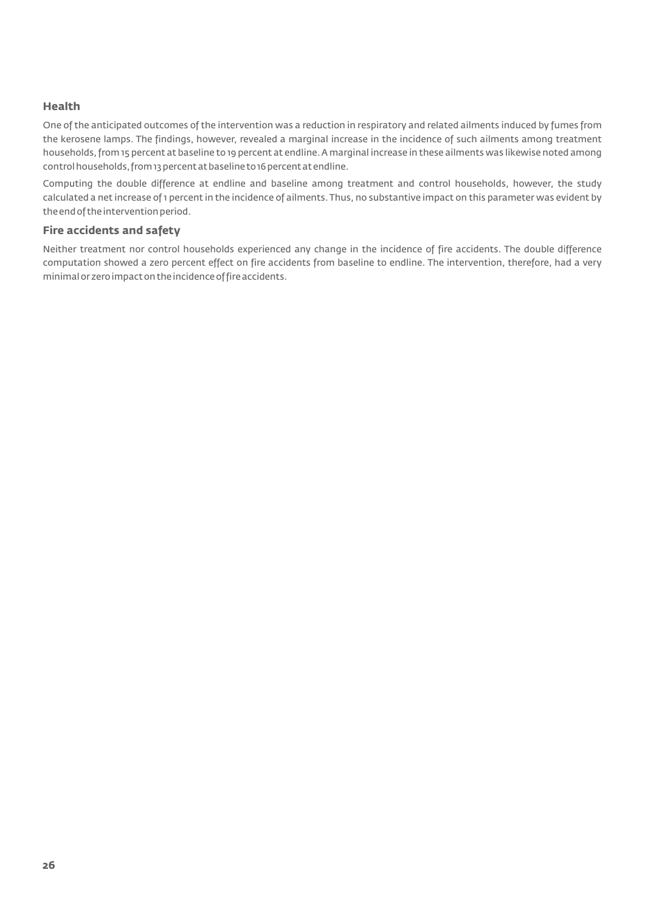### **Health**

One of the anticipated outcomes of the intervention was a reduction in respiratory and related ailments induced by fumes from the kerosene lamps. The findings, however, revealed a marginal increase in the incidence of such ailments among treatment households,from 15 percent at baseline to 19 percent at endline.A marginal increase in these ailments was likewise noted among control households,from 13 percent at baseline to 16 percent at endline.

Computing the double difference at endline and baseline among treatment and control households, however, the study calculated a net increase of 1 percent in the incidence of ailments.Thus, no substantive impact on this parameter was evident by the end of the intervention period.

### **Fire accidents and safety**

Neither treatment nor control households experienced any change in the incidence of fire accidents. The double difference computation showed a zero percent effect on fire accidents from baseline to endline. The intervention, therefore, had a very minimal or zero impact on the incidence of fire accidents.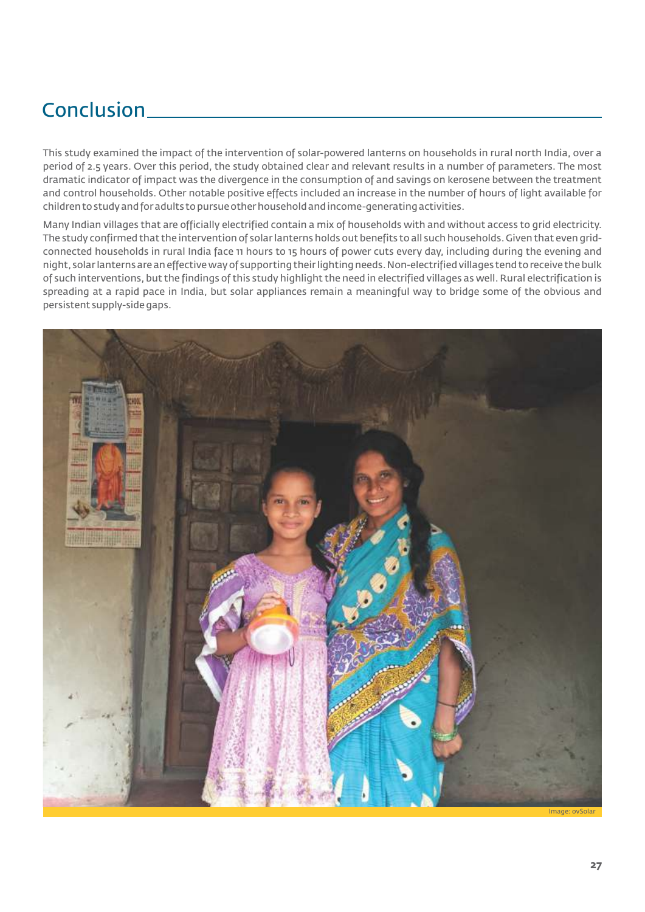# Conclusion

This study examined the impact of the intervention of solar-powered lanterns on households in rural north India, over a period of 2.5 years. Over this period, the study obtained clear and relevant results in a number of parameters. The most dramatic indicator of impact was the divergence in the consumption of and savings on kerosene between the treatment and control households. Other notable positive effects included an increase in the number of hours of light available for children to study and for adults to pursue other household and income-generating activities.

Many Indian villages that are officially electrified contain a mix of households with and without access to grid electricity. The study confirmed that the intervention of solar lanterns holds out benefits to all such households.Given that even gridconnected households in rural India face 11 hours to 15 hours of power cuts every day, including during the evening and night,solar lanterns are an effective way of supporting their lighting needs.Non-electrified villages tend to receive the bulk of such interventions, but the findings of this study highlight the need in electrified villages as well. Rural electrification is spreading at a rapid pace in India, but solar appliances remain a meaningful way to bridge some of the obvious and persistent supply-side gaps.